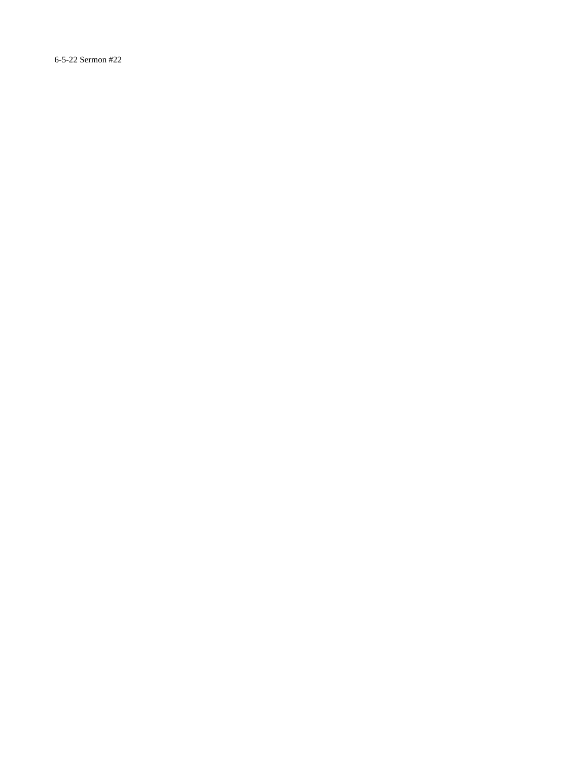6-5-22 Sermon #22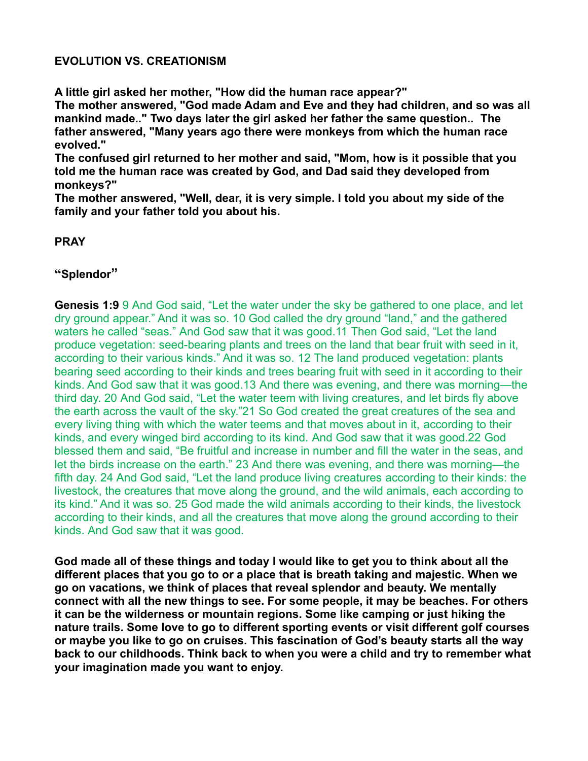## **EVOLUTION VS. CREATIONISM**

**A little girl asked her mother, "How did the human race appear?"**

**The mother answered, "God made Adam and Eve and they had children, and so was all mankind made.." Two days later the girl asked her father the same question.. The father answered, "Many years ago there were monkeys from which the human race evolved."**

**The confused girl returned to her mother and said, "Mom, how is it possible that you told me the human race was created by God, and Dad said they developed from monkeys?"**

**The mother answered, "Well, dear, it is very simple. I told you about my side of the family and your father told you about his.**

## **PRAY**

## **"Splendor"**

**Genesis 1:9** 9 And God said, "Let the water under the sky be gathered to one place, and let dry ground appear." And it was so. 10 God called the dry ground "land," and the gathered waters he called "seas." And God saw that it was good.11 Then God said, "Let the land produce vegetation: seed-bearing plants and trees on the land that bear fruit with seed in it, according to their various kinds." And it was so. 12 The land produced vegetation: plants bearing seed according to their kinds and trees bearing fruit with seed in it according to their kinds. And God saw that it was good.13 And there was evening, and there was morning—the third day. 20 And God said, "Let the water teem with living creatures, and let birds fly above the earth across the vault of the sky."21 So God created the great creatures of the sea and every living thing with which the water teems and that moves about in it, according to their kinds, and every winged bird according to its kind. And God saw that it was good.22 God blessed them and said, "Be fruitful and increase in number and fill the water in the seas, and let the birds increase on the earth." 23 And there was evening, and there was morning—the fifth day. 24 And God said, "Let the land produce living creatures according to their kinds: the livestock, the creatures that move along the ground, and the wild animals, each according to its kind." And it was so. 25 God made the wild animals according to their kinds, the livestock according to their kinds, and all the creatures that move along the ground according to their kinds. And God saw that it was good.

**God made all of these things and today I would like to get you to think about all the different places that you go to or a place that is breath taking and majestic. When we go on vacations, we think of places that reveal splendor and beauty. We mentally connect with all the new things to see. For some people, it may be beaches. For others it can be the wilderness or mountain regions. Some like camping or just hiking the nature trails. Some love to go to different sporting events or visit different golf courses or maybe you like to go on cruises. This fascination of God's beauty starts all the way back to our childhoods. Think back to when you were a child and try to remember what your imagination made you want to enjoy.**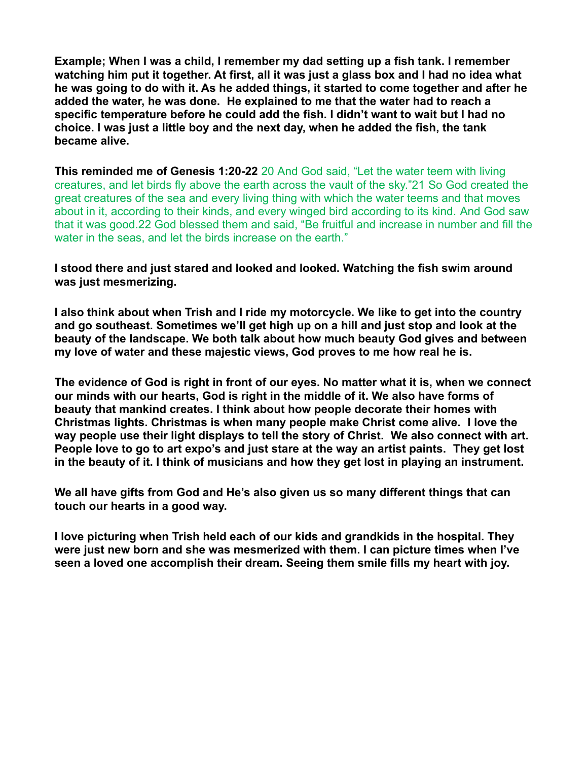**Example; When I was a child, I remember my dad setting up a fish tank. I remember watching him put it together. At first, all it was just a glass box and I had no idea what he was going to do with it. As he added things, it started to come together and after he added the water, he was done. He explained to me that the water had to reach a specific temperature before he could add the fish. I didn't want to wait but I had no choice. I was just a little boy and the next day, when he added the fish, the tank became alive.**

**This reminded me of Genesis 1:20-22** 20 And God said, "Let the water teem with living creatures, and let birds fly above the earth across the vault of the sky."21 So God created the great creatures of the sea and every living thing with which the water teems and that moves about in it, according to their kinds, and every winged bird according to its kind. And God saw that it was good.22 God blessed them and said, "Be fruitful and increase in number and fill the water in the seas, and let the birds increase on the earth."

## **I stood there and just stared and looked and looked. Watching the fish swim around was just mesmerizing.**

**I also think about when Trish and I ride my motorcycle. We like to get into the country and go southeast. Sometimes we'll get high up on a hill and just stop and look at the beauty of the landscape. We both talk about how much beauty God gives and between my love of water and these majestic views, God proves to me how real he is.** 

**The evidence of God is right in front of our eyes. No matter what it is, when we connect our minds with our hearts, God is right in the middle of it. We also have forms of beauty that mankind creates. I think about how people decorate their homes with Christmas lights. Christmas is when many people make Christ come alive. I love the way people use their light displays to tell the story of Christ. We also connect with art. People love to go to art expo's and just stare at the way an artist paints. They get lost in the beauty of it. I think of musicians and how they get lost in playing an instrument.**

**We all have gifts from God and He's also given us so many different things that can touch our hearts in a good way.**

**I love picturing when Trish held each of our kids and grandkids in the hospital. They were just new born and she was mesmerized with them. I can picture times when I've seen a loved one accomplish their dream. Seeing them smile fills my heart with joy.**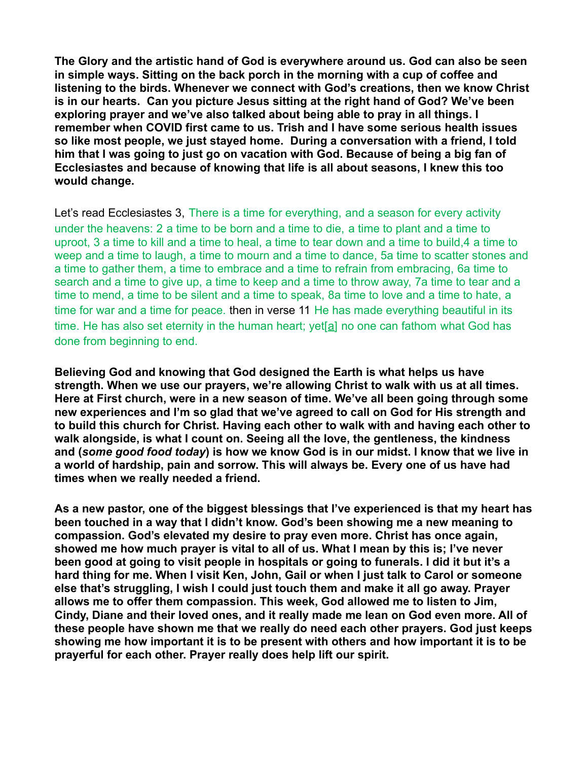**The Glory and the artistic hand of God is everywhere around us. God can also be seen in simple ways. Sitting on the back porch in the morning with a cup of coffee and listening to the birds. Whenever we connect with God's creations, then we know Christ is in our hearts. Can you picture Jesus sitting at the right hand of God? We've been exploring prayer and we've also talked about being able to pray in all things. I remember when COVID first came to us. Trish and I have some serious health issues so like most people, we just stayed home. During a conversation with a friend, I told him that I was going to just go on vacation with God. Because of being a big fan of Ecclesiastes and because of knowing that life is all about seasons, I knew this too would change.**

Let's read Ecclesiastes 3, There is a time for everything, and a season for every activity under the heavens: 2 a time to be born and a time to die, a time to plant and a time to uproot, 3 a time to kill and a time to heal, a time to tear down and a time to build,4 a time to weep and a time to laugh, a time to mourn and a time to dance, 5a time to scatter stones and a time to gather them, a time to embrace and a time to refrain from embracing, 6a time to search and a time to give up, a time to keep and a time to throw away, 7a time to tear and a time to mend, a time to be silent and a time to speak, 8a time to love and a time to hate, a time for war and a time for peace. then in verse 11 He has made everything beautiful in its time. He has also set eternity in the human heart; yet[\[a\]](https://www.biblegateway.com/passage/?search=Ecclesiastes+3&version=NIV#fen-NIV-17371a) no one can fathom what God has done from beginning to end.

**Believing God and knowing that God designed the Earth is what helps us have strength. When we use our prayers, we're allowing Christ to walk with us at all times. Here at First church, were in a new season of time. We've all been going through some new experiences and I'm so glad that we've agreed to call on God for His strength and to build this church for Christ. Having each other to walk with and having each other to walk alongside, is what I count on. Seeing all the love, the gentleness, the kindness and (***some good food today***) is how we know God is in our midst. I know that we live in a world of hardship, pain and sorrow. This will always be. Every one of us have had times when we really needed a friend.**

**As a new pastor, one of the biggest blessings that I've experienced is that my heart has been touched in a way that I didn't know. God's been showing me a new meaning to compassion. God's elevated my desire to pray even more. Christ has once again, showed me how much prayer is vital to all of us. What I mean by this is; I've never been good at going to visit people in hospitals or going to funerals. I did it but it's a hard thing for me. When I visit Ken, John, Gail or when I just talk to Carol or someone else that's struggling, I wish I could just touch them and make it all go away. Prayer allows me to offer them compassion. This week, God allowed me to listen to Jim, Cindy, Diane and their loved ones, and it really made me lean on God even more. All of these people have shown me that we really do need each other prayers. God just keeps showing me how important it is to be present with others and how important it is to be prayerful for each other. Prayer really does help lift our spirit.**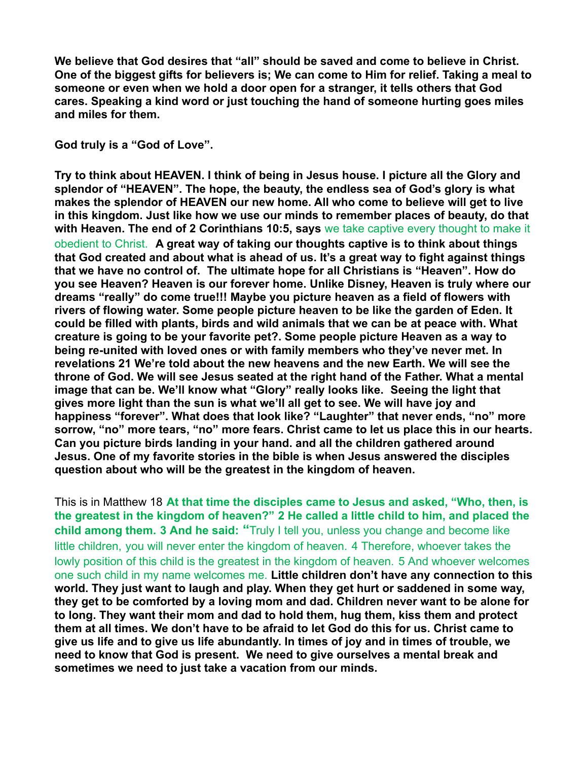**We believe that God desires that "all" should be saved and come to believe in Christ. One of the biggest gifts for believers is; We can come to Him for relief. Taking a meal to someone or even when we hold a door open for a stranger, it tells others that God cares. Speaking a kind word or just touching the hand of someone hurting goes miles and miles for them.**

**God truly is a "God of Love".**

**Try to think about HEAVEN. I think of being in Jesus house. I picture all the Glory and splendor of "HEAVEN". The hope, the beauty, the endless sea of God's glory is what makes the splendor of HEAVEN our new home. All who come to believe will get to live in this kingdom. Just like how we use our minds to remember places of beauty, do that with Heaven. The end of 2 Corinthians 10:5, says** we take captive every thought to make it obedient to Christ. **A great way of taking our thoughts captive is to think about things that God created and about what is ahead of us. It's a great way to fight against things that we have no control of. The ultimate hope for all Christians is "Heaven". How do you see Heaven? Heaven is our forever home. Unlike Disney, Heaven is truly where our dreams "really" do come true!!! Maybe you picture heaven as a field of flowers with rivers of flowing water. Some people picture heaven to be like the garden of Eden. It could be filled with plants, birds and wild animals that we can be at peace with. What creature is going to be your favorite pet?. Some people picture Heaven as a way to being re-united with loved ones or with family members who they've never met. In revelations 21 We're told about the new heavens and the new Earth. We will see the throne of God. We will see Jesus seated at the right hand of the Father. What a mental image that can be. We'll know what "Glory" really looks like. Seeing the light that gives more light than the sun is what we'll all get to see. We will have joy and happiness "forever". What does that look like? "Laughter" that never ends, "no" more sorrow, "no" more tears, "no" more fears. Christ came to let us place this in our hearts. Can you picture birds landing in your hand. and all the children gathered around Jesus. One of my favorite stories in the bible is when Jesus answered the disciples question about who will be the greatest in the kingdom of heaven.**

This is in Matthew 18 **At that time the disciples came to Jesus and asked, "Who, then, is the greatest in the kingdom of heaven?" 2 He called a little child to him, and placed the child among them. 3 And he said: "**Truly I tell you, unless you change and become like little children, you will never enter the kingdom of heaven. 4 Therefore, whoever takes the lowly position of this child is the greatest in the kingdom of heaven. 5 And whoever welcomes one such child in my name welcomes me. **Little children don't have any connection to this world. They just want to laugh and play. When they get hurt or saddened in some way, they get to be comforted by a loving mom and dad. Children never want to be alone for to long. They want their mom and dad to hold them, hug them, kiss them and protect them at all times. We don't have to be afraid to let God do this for us. Christ came to give us life and to give us life abundantly. In times of joy and in times of trouble, we need to know that God is present. We need to give ourselves a mental break and sometimes we need to just take a vacation from our minds.**